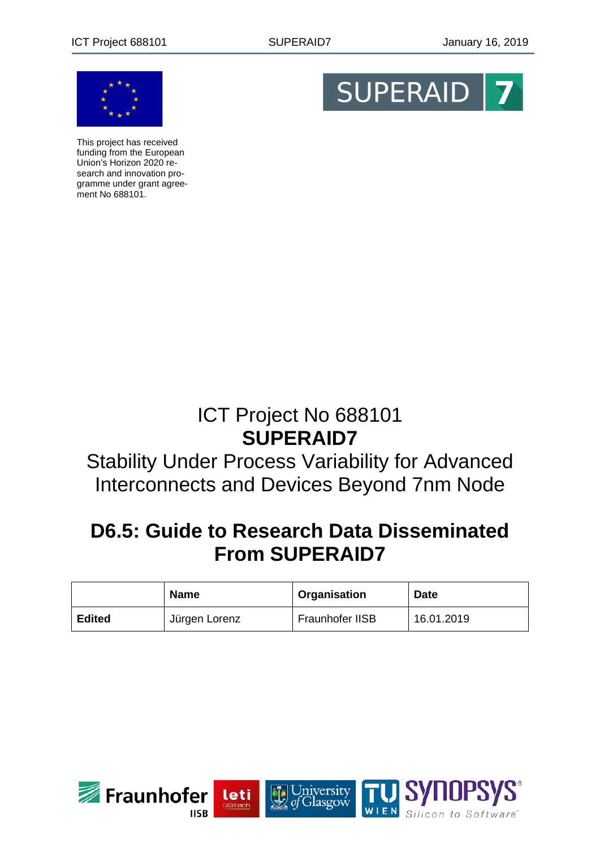

This project has received funding from the European Union's Horizon 2020 research and innovation programme under grant agreement No 688101.



# ICT Project No 688101 **SUPERAID7**

## Stability Under Process Variability for Advanced Interconnects and Devices Beyond 7nm Node

# **D6.5: Guide to Research Data Disseminated From SUPERAID7**

|               | <b>Name</b>   | Organisation    | <b>Date</b> |
|---------------|---------------|-----------------|-------------|
| <b>Edited</b> | Jürgen Lorenz | Fraunhofer IISB | 16.01.2019  |

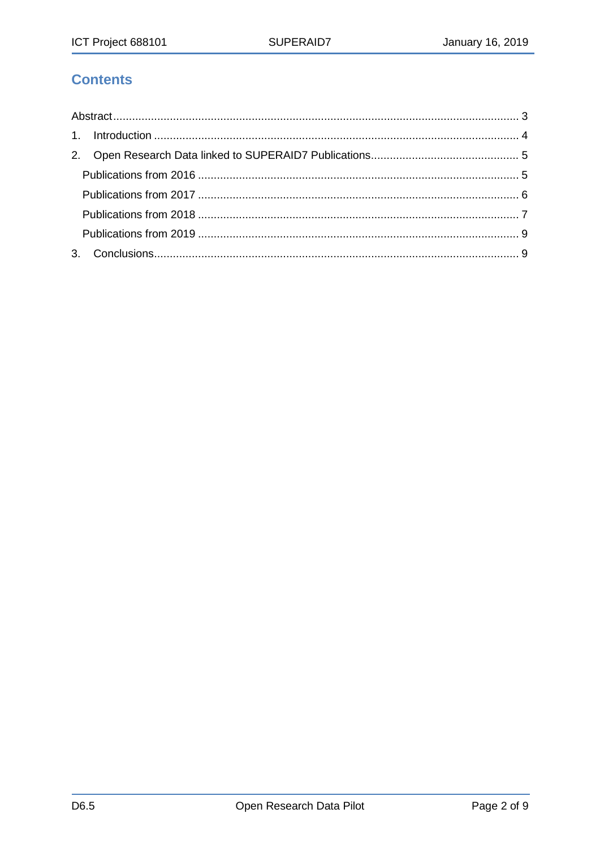## **Contents**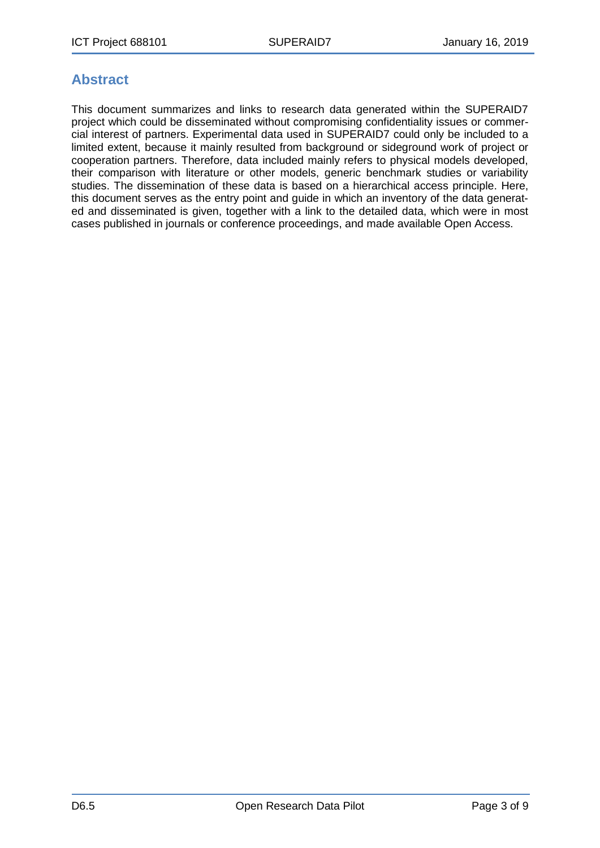## <span id="page-2-0"></span>**Abstract**

This document summarizes and links to research data generated within the SUPERAID7 project which could be disseminated without compromising confidentiality issues or commercial interest of partners. Experimental data used in SUPERAID7 could only be included to a limited extent, because it mainly resulted from background or sideground work of project or cooperation partners. Therefore, data included mainly refers to physical models developed, their comparison with literature or other models, generic benchmark studies or variability studies. The dissemination of these data is based on a hierarchical access principle. Here, this document serves as the entry point and guide in which an inventory of the data generated and disseminated is given, together with a link to the detailed data, which were in most cases published in journals or conference proceedings, and made available Open Access.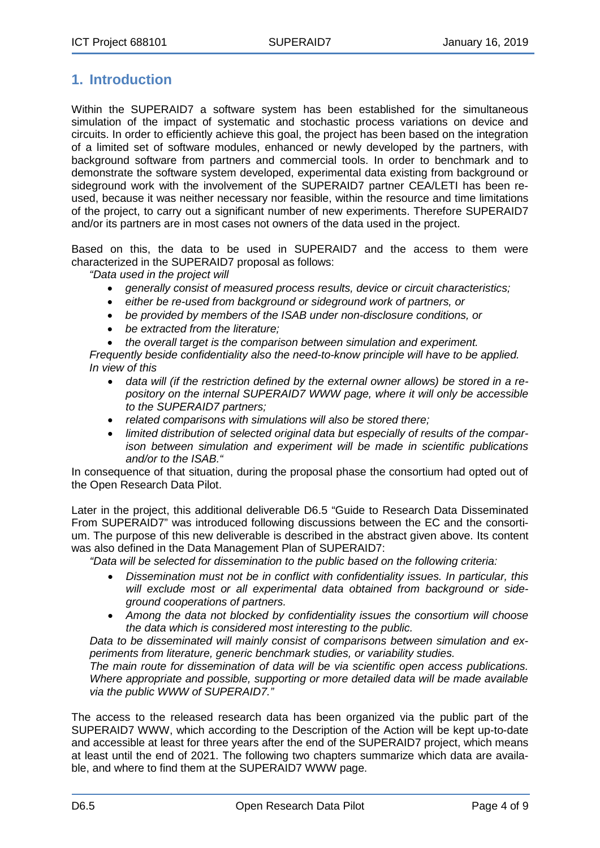## <span id="page-3-0"></span>**1. Introduction**

Within the SUPERAID7 a software system has been established for the simultaneous simulation of the impact of systematic and stochastic process variations on device and circuits. In order to efficiently achieve this goal, the project has been based on the integration of a limited set of software modules, enhanced or newly developed by the partners, with background software from partners and commercial tools. In order to benchmark and to demonstrate the software system developed, experimental data existing from background or sideground work with the involvement of the SUPERAID7 partner CEA/LETI has been reused, because it was neither necessary nor feasible, within the resource and time limitations of the project, to carry out a significant number of new experiments. Therefore SUPERAID7 and/or its partners are in most cases not owners of the data used in the project.

Based on this, the data to be used in SUPERAID7 and the access to them were characterized in the SUPERAID7 proposal as follows:

*"Data used in the project will*

- *generally consist of measured process results, device or circuit characteristics;*
- *either be re-used from background or sideground work of partners, or*
- *be provided by members of the ISAB under non-disclosure conditions, or*
- *be extracted from the literature;*
- *the overall target is the comparison between simulation and experiment.*

*Frequently beside confidentiality also the need-to-know principle will have to be applied. In view of this*

- *data will (if the restriction defined by the external owner allows) be stored in a repository on the internal SUPERAID7 WWW page, where it will only be accessible to the SUPERAID7 partners;*
- *related comparisons with simulations will also be stored there;*
- *limited distribution of selected original data but especially of results of the comparison between simulation and experiment will be made in scientific publications and/or to the ISAB."*

In consequence of that situation, during the proposal phase the consortium had opted out of the Open Research Data Pilot.

Later in the project, this additional deliverable D6.5 "Guide to Research Data Disseminated From SUPERAID7" was introduced following discussions between the EC and the consortium. The purpose of this new deliverable is described in the abstract given above. Its content was also defined in the Data Management Plan of SUPERAID7:

*"Data will be selected for dissemination to the public based on the following criteria:*

- *Dissemination must not be in conflict with confidentiality issues. In particular, this will exclude most or all experimental data obtained from background or sideground cooperations of partners.*
- *Among the data not blocked by confidentiality issues the consortium will choose the data which is considered most interesting to the public.*

*Data to be disseminated will mainly consist of comparisons between simulation and experiments from literature, generic benchmark studies, or variability studies.*

*The main route for dissemination of data will be via scientific open access publications. Where appropriate and possible, supporting or more detailed data will be made available via the public WWW of SUPERAID7."*

The access to the released research data has been organized via the public part of the SUPERAID7 WWW, which according to the Description of the Action will be kept up-to-date and accessible at least for three years after the end of the SUPERAID7 project, which means at least until the end of 2021. The following two chapters summarize which data are available, and where to find them at the SUPERAID7 WWW page.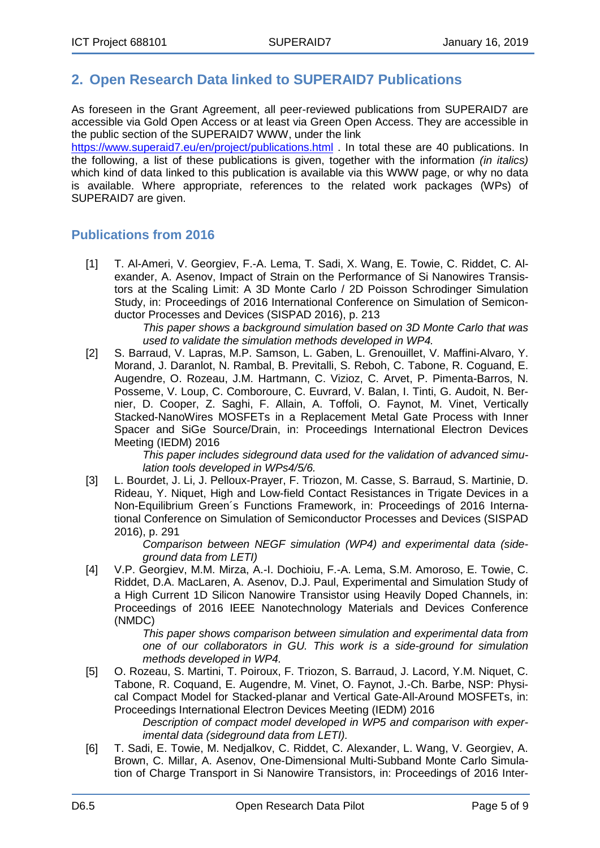### <span id="page-4-0"></span>**2. Open Research Data linked to SUPERAID7 Publications**

As foreseen in the Grant Agreement, all peer-reviewed publications from SUPERAID7 are accessible via Gold Open Access or at least via Green Open Access. They are accessible in the public section of the SUPERAID7 WWW, under the link

<https://www.superaid7.eu/en/project/publications.html> . In total these are 40 publications. In the following, a list of these publications is given, together with the information *(in italics)* which kind of data linked to this publication is available via this WWW page, or why no data is available. Where appropriate, references to the related work packages (WPs) of SUPERAID7 are given.

#### <span id="page-4-1"></span>**Publications from 2016**

[1] T. Al-Ameri, V. Georgiev, F.-A. Lema, T. Sadi, X. Wang, E. Towie, C. Riddet, C. Alexander, A. Asenov, Impact of Strain on the Performance of Si Nanowires Transistors at the Scaling Limit: A 3D Monte Carlo / 2D Poisson Schrodinger Simulation Study, in: Proceedings of 2016 International Conference on Simulation of Semiconductor Processes and Devices (SISPAD 2016), p. 213

*This paper shows a background simulation based on 3D Monte Carlo that was used to validate the simulation methods developed in WP4.*

[2] S. Barraud, V. Lapras, M.P. Samson, L. Gaben, L. Grenouillet, V. Maffini-Alvaro, Y. Morand, J. Daranlot, N. Rambal, B. Previtalli, S. Reboh, C. Tabone, R. Coguand, E. Augendre, O. Rozeau, J.M. Hartmann, C. Vizioz, C. Arvet, P. Pimenta-Barros, N. Posseme, V. Loup, C. Comboroure, C. Euvrard, V. Balan, I. Tinti, G. Audoit, N. Bernier, D. Cooper, Z. Saghi, F. Allain, A. Toffoli, O. Faynot, M. Vinet, Vertically Stacked-NanoWires MOSFETs in a Replacement Metal Gate Process with Inner Spacer and SiGe Source/Drain, in: Proceedings International Electron Devices Meeting (IEDM) 2016

*This paper includes sideground data used for the validation of advanced simulation tools developed in WPs4/5/6.*

[3] L. Bourdet, J. Li, J. Pelloux-Prayer, F. Triozon, M. Casse, S. Barraud, S. Martinie, D. Rideau, Y. Niquet, High and Low-field Contact Resistances in Trigate Devices in a Non-Equilibrium Green´s Functions Framework, in: Proceedings of 2016 International Conference on Simulation of Semiconductor Processes and Devices (SISPAD 2016), p. 291

*Comparison between NEGF simulation (WP4) and experimental data (sideground data from LETI)*

[4] V.P. Georgiev, M.M. Mirza, A.-I. Dochioiu, F.-A. Lema, S.M. Amoroso, E. Towie, C. Riddet, D.A. MacLaren, A. Asenov, D.J. Paul, Experimental and Simulation Study of a High Current 1D Silicon Nanowire Transistor using Heavily Doped Channels, in: Proceedings of 2016 IEEE Nanotechnology Materials and Devices Conference (NMDC)

*This paper shows comparison between simulation and experimental data from one of our collaborators in GU. This work is a side-ground for simulation methods developed in WP4.*

[5] O. Rozeau, S. Martini, T. Poiroux, F. Triozon, S. Barraud, J. Lacord, Y.M. Niquet, C. Tabone, R. Coquand, E. Augendre, M. Vinet, O. Faynot, J.-Ch. Barbe, NSP: Physical Compact Model for Stacked-planar and Vertical Gate-All-Around MOSFETs, in: Proceedings International Electron Devices Meeting (IEDM) 2016

*Description of compact model developed in WP5 and comparison with experimental data (sideground data from LETI).*

[6] T. Sadi, E. Towie, M. Nedjalkov, C. Riddet, C. Alexander, L. Wang, V. Georgiev, A. Brown, C. Millar, A. Asenov, One-Dimensional Multi-Subband Monte Carlo Simulation of Charge Transport in Si Nanowire Transistors, in: Proceedings of 2016 Inter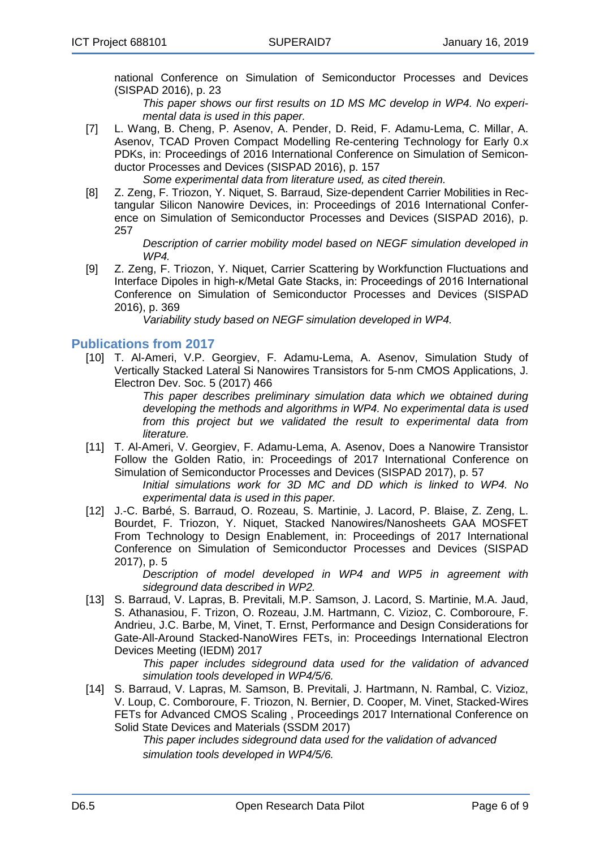national Conference on Simulation of Semiconductor Processes and Devices (SISPAD 2016), p. 23

*This paper shows our first results on 1D MS MC develop in WP4. No experimental data is used in this paper.*

[7] L. Wang, B. Cheng, P. Asenov, A. Pender, D. Reid, F. Adamu-Lema, C. Millar, A. Asenov, TCAD Proven Compact Modelling Re-centering Technology for Early 0.x PDKs, in: Proceedings of 2016 International Conference on Simulation of Semiconductor Processes and Devices (SISPAD 2016), p. 157

*Some experimental data from literature used, as cited therein.*

[8] Z. Zeng, F. Triozon, Y. Niquet, S. Barraud, Size-dependent Carrier Mobilities in Rectangular Silicon Nanowire Devices, in: Proceedings of 2016 International Conference on Simulation of Semiconductor Processes and Devices (SISPAD 2016), p. 257

*Description of carrier mobility model based on NEGF simulation developed in WP4.*

[9] Z. Zeng, F. Triozon, Y. Niquet, Carrier Scattering by Workfunction Fluctuations and Interface Dipoles in high-κ/Metal Gate Stacks, in: Proceedings of 2016 International Conference on Simulation of Semiconductor Processes and Devices (SISPAD 2016), p. 369

*Variability study based on NEGF simulation developed in WP4.*

#### <span id="page-5-0"></span>**Publications from 2017**

[10] T. Al-Ameri, V.P. Georgiev, F. Adamu-Lema, A. Asenov, Simulation Study of Vertically Stacked Lateral Si Nanowires Transistors for 5-nm CMOS Applications, J. Electron Dev. Soc. 5 (2017) 466

*This paper describes preliminary simulation data which we obtained during developing the methods and algorithms in WP4. No experimental data is used from this project but we validated the result to experimental data from literature.*

[11] T. Al-Ameri, V. Georgiev, F. Adamu-Lema, A. Asenov, Does a Nanowire Transistor Follow the Golden Ratio, in: Proceedings of 2017 International Conference on Simulation of Semiconductor Processes and Devices (SISPAD 2017), p. 57

*Initial simulations work for 3D MC and DD which is linked to WP4. No experimental data is used in this paper.*

[12] J.-C. Barbé, S. Barraud, O. Rozeau, S. Martinie, J. Lacord, P. Blaise, Z. Zeng, L. Bourdet, F. Triozon, Y. Niquet, Stacked Nanowires/Nanosheets GAA MOSFET From Technology to Design Enablement, in: Proceedings of 2017 International Conference on Simulation of Semiconductor Processes and Devices (SISPAD 2017), p. 5

> *Description of model developed in WP4 and WP5 in agreement with sideground data described in WP2.*

[13] S. Barraud, V. Lapras, B. Previtali, M.P. Samson, J. Lacord, S. Martinie, M.A. Jaud, S. Athanasiou, F. Trizon, O. Rozeau, J.M. Hartmann, C. Vizioz, C. Comboroure, F. Andrieu, J.C. Barbe, M, Vinet, T. Ernst, Performance and Design Considerations for Gate-All-Around Stacked-NanoWires FETs, in: Proceedings International Electron Devices Meeting (IEDM) 2017

*This paper includes sideground data used for the validation of advanced simulation tools developed in WP4/5/6.*

[14] S. Barraud, V. Lapras, M. Samson, B. Previtali, J. Hartmann, N. Rambal, C. Vizioz, V. Loup, C. Comboroure, F. Triozon, N. Bernier, D. Cooper, M. Vinet, Stacked-Wires FETs for Advanced CMOS Scaling , Proceedings 2017 International Conference on Solid State Devices and Materials (SSDM 2017)

*This paper includes sideground data used for the validation of advanced simulation tools developed in WP4/5/6.*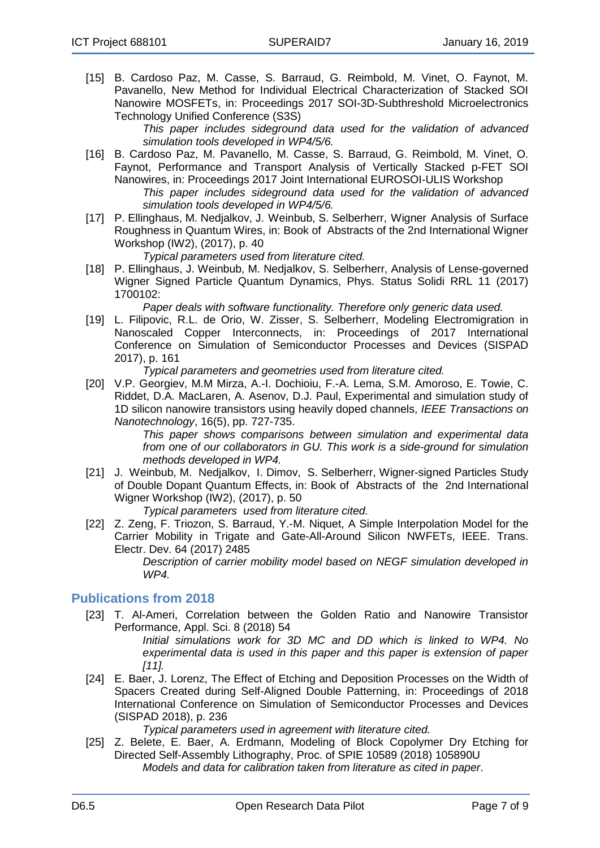[15] B. Cardoso Paz, M. Casse, S. Barraud, G. Reimbold, M. Vinet, O. Faynot, M. Pavanello, New Method for Individual Electrical Characterization of Stacked SOI Nanowire MOSFETs, in: Proceedings 2017 SOI-3D-Subthreshold Microelectronics Technology Unified Conference (S3S)

*This paper includes sideground data used for the validation of advanced simulation tools developed in WP4/5/6.*

- [16] B. Cardoso Paz, M. Pavanello, M. Casse, S. Barraud, G. Reimbold, M. Vinet, O. Faynot, Performance and Transport Analysis of Vertically Stacked p-FET SOI Nanowires, in: Proceedings 2017 Joint International EUROSOI-ULIS Workshop *This paper includes sideground data used for the validation of advanced simulation tools developed in WP4/5/6.*
- [17] P. Ellinghaus, M. Nedjalkov, J. Weinbub, S. Selberherr, Wigner Analysis of Surface Roughness in Quantum Wires, in: Book of Abstracts of the 2nd International Wigner Workshop (IW2), (2017), p. 40

*Typical parameters used from literature cited.*

[18] P. Ellinghaus, J. Weinbub, M. Nedjalkov, S. Selberherr, Analysis of Lense-governed Wigner Signed Particle Quantum Dynamics, Phys. Status Solidi RRL 11 (2017) 1700102:

*Paper deals with software functionality. Therefore only generic data used.*

[19] L. Filipovic, R.L. de Orio, W. Zisser, S. Selberherr, Modeling Electromigration in Nanoscaled Copper Interconnects, in: Proceedings of 2017 International Conference on Simulation of Semiconductor Processes and Devices (SISPAD 2017), p. 161

*Typical parameters and geometries used from literature cited.*

[20] V.P. Georgiev, M.M Mirza, A.-I. Dochioiu, F.-A. Lema, S.M. Amoroso, E. Towie, C. Riddet, D.A. MacLaren, A. Asenov, D.J. Paul, Experimental and simulation study of 1D silicon nanowire transistors using heavily doped channels, *IEEE [Transactions](http://eprints.gla.ac.uk/view/journal_volume/IEEE_Transactions_on_Nanotechnology.html) on [Nanotechnology](http://eprints.gla.ac.uk/view/journal_volume/IEEE_Transactions_on_Nanotechnology.html)*, 16(5), pp. 727-735.

> *This paper shows comparisons between simulation and experimental data from one of our collaborators in GU. This work is a side-ground for simulation methods developed in WP4.*

[21] J. Weinbub, M. Nedjalkov, I. Dimov, S. Selberherr, Wigner-signed Particles Study of Double Dopant Quantum Effects, in: Book of Abstracts of the 2nd International Wigner Workshop (IW2), (2017), p. 50

*Typical parameters used from literature cited.*

[22] Z. Zeng, F. Triozon, S. Barraud, Y.-M. Niquet, A Simple Interpolation Model for the Carrier Mobility in Trigate and Gate-All-Around Silicon NWFETs, IEEE. Trans. Electr. Dev. 64 (2017) 2485

*Description of carrier mobility model based on NEGF simulation developed in WP4.*

#### <span id="page-6-0"></span>**Publications from 2018**

[23] T. Al-Ameri, Correlation between the Golden Ratio and Nanowire Transistor Performance, Appl. Sci. 8 (2018) 54

*Initial simulations work for 3D MC and DD which is linked to WP4. No experimental data is used in this paper and this paper is extension of paper [11].*

[24] E. Baer, J. Lorenz, The Effect of Etching and Deposition Processes on the Width of Spacers Created during Self-Aligned Double Patterning, in: Proceedings of 2018 International Conference on Simulation of Semiconductor Processes and Devices (SISPAD 2018), p. 236

*Typical parameters used in agreement with literature cited.*

[25] Z. Belete, E. Baer, A. Erdmann, Modeling of Block Copolymer Dry Etching for Directed Self-Assembly Lithography, Proc. of SPIE 10589 (2018) 105890U *Models and data for calibration taken from literature as cited in paper*.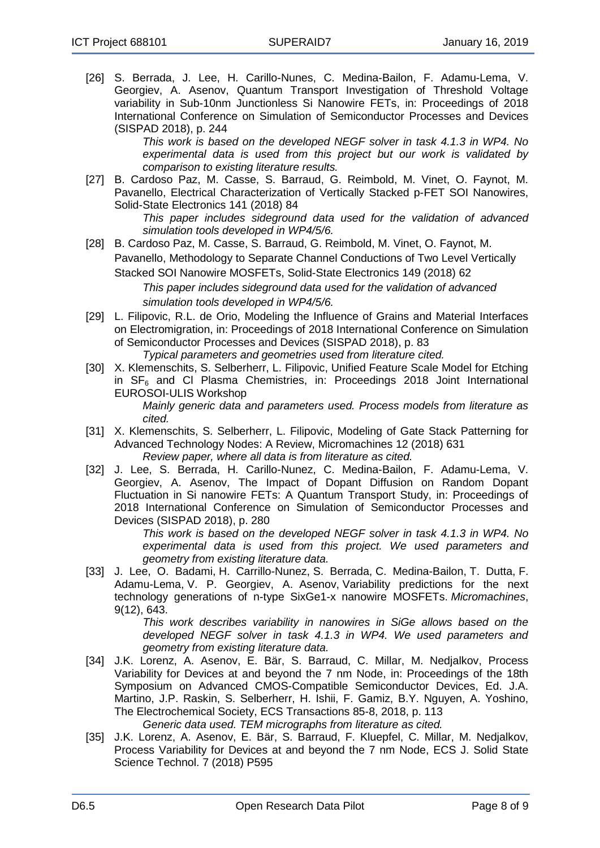[26] S. Berrada, J. Lee, H. Carillo-Nunes, C. Medina-Bailon, F. Adamu-Lema, V. Georgiev, A. Asenov, Quantum Transport Investigation of Threshold Voltage variability in Sub-10nm Junctionless Si Nanowire FETs, in: Proceedings of 2018 International Conference on Simulation of Semiconductor Processes and Devices (SISPAD 2018), p. 244

*This work is based on the developed NEGF solver in task 4.1.3 in WP4. No experimental data is used from this project but our work is validated by comparison to existing literature results.* 

[27] B. Cardoso Paz, M. Casse, S. Barraud, G. Reimbold, M. Vinet, O. Faynot, M. Pavanello, Electrical Characterization of Vertically Stacked p-FET SOI Nanowires, Solid-State Electronics 141 (2018) 84

*This paper includes sideground data used for the validation of advanced simulation tools developed in WP4/5/6.*

[28] B. Cardoso Paz, M. Casse, S. Barraud, G. Reimbold, M. Vinet, O. Faynot, M.

Pavanello, Methodology to Separate Channel Conductions of Two Level Vertically Stacked SOI Nanowire MOSFETs, Solid-State Electronics 149 (2018) 62

> *This paper includes sideground data used for the validation of advanced simulation tools developed in WP4/5/6.*

[29] L. Filipovic, R.L. de Orio, Modeling the Influence of Grains and Material Interfaces on Electromigration, in: Proceedings of 2018 International Conference on Simulation of Semiconductor Processes and Devices (SISPAD 2018), p. 83

*Typical parameters and geometries used from literature cited.*

- [30] X. Klemenschits, S. Selberherr, L. Filipovic, Unified Feature Scale Model for Etching in  $SF<sub>6</sub>$  and CI Plasma Chemistries, in: Proceedings 2018 Joint International EUROSOI-ULIS Workshop *Mainly generic data and parameters used. Process models from literature as cited.*
- [31] X. Klemenschits, S. Selberherr, L. Filipovic, Modeling of Gate Stack Patterning for Advanced Technology Nodes: A Review, Micromachines 12 (2018) 631 *Review paper, where all data is from literature as cited.*
- [32] J. Lee, S. Berrada, H. Carillo-Nunez, C. Medina-Bailon, F. Adamu-Lema, V. Georgiev, A. Asenov, The Impact of Dopant Diffusion on Random Dopant Fluctuation in Si nanowire FETs: A Quantum Transport Study, in: Proceedings of 2018 International Conference on Simulation of Semiconductor Processes and Devices (SISPAD 2018), p. 280

*This work is based on the developed NEGF solver in task 4.1.3 in WP4. No experimental data is used from this project. We used parameters and geometry from existing literature data.*

[33] J. Lee, O. Badami, H. Carrillo-Nunez, S. Berrada, C. Medina-Bailon, T. Dutta, F. Adamu-Lema, V. P. Georgiev, A. Asenov, Variability [predictions](http://eprints.gla.ac.uk/173916/) for the next technology [generations](http://eprints.gla.ac.uk/173916/) of n-type SixGe1-x nanowire MOSFETs. *[Micromachines](http://eprints.gla.ac.uk/view/journal_volume/Micromachines.html)*, 9(12), 643.

*This work describes variability in nanowires in SiGe allows based on the developed NEGF solver in task 4.1.3 in WP4. We used parameters and geometry from existing literature data.*

- [34] J.K. Lorenz, A. Asenov, E. Bär, S. Barraud, C. Millar, M. Nedjalkov, Process Variability for Devices at and beyond the 7 nm Node, in: Proceedings of the 18th Symposium on Advanced CMOS-Compatible Semiconductor Devices, Ed. J.A. Martino, J.P. Raskin, S. Selberherr, H. Ishii, F. Gamiz, B.Y. Nguyen, A. Yoshino, The Electrochemical Society, ECS Transactions 85-8, 2018, p. 113 *Generic data used. TEM micrographs from literature as cited.*
- [35] J.K. Lorenz, A. Asenov, E. Bär, S. Barraud, F. Kluepfel, C. Millar, M. Nedjalkov, Process Variability for Devices at and beyond the 7 nm Node, ECS J. Solid State Science Technol. 7 (2018) P595